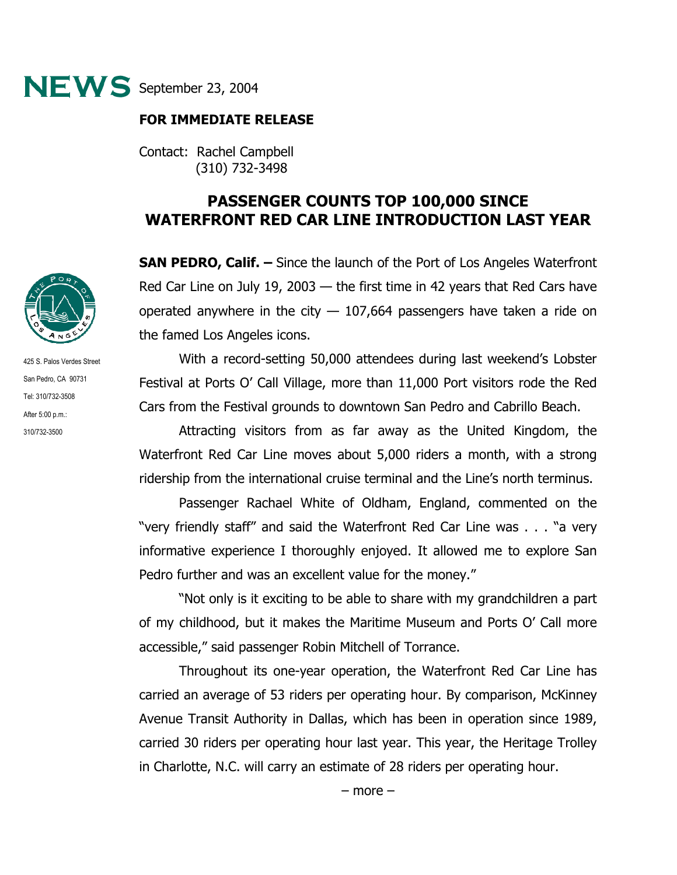

## **FOR IMMEDIATE RELEASE**

Contact: Rachel Campbell (310) 732-3498

## **PASSENGER COUNTS TOP 100,000 SINCE WATERFRONT RED CAR LINE INTRODUCTION LAST YEAR**

**SAN PEDRO, Calif. –** Since the launch of the Port of Los Angeles Waterfront Red Car Line on July 19, 2003 — the first time in 42 years that Red Cars have operated anywhere in the city  $-107,664$  passengers have taken a ride on the famed Los Angeles icons.

 With a record-setting 50,000 attendees during last weekend's Lobster Festival at Ports O' Call Village, more than 11,000 Port visitors rode the Red Cars from the Festival grounds to downtown San Pedro and Cabrillo Beach.

Attracting visitors from as far away as the United Kingdom, the Waterfront Red Car Line moves about 5,000 riders a month, with a strong ridership from the international cruise terminal and the Line's north terminus.

Passenger Rachael White of Oldham, England, commented on the "very friendly staff" and said the Waterfront Red Car Line was . . . "a very informative experience I thoroughly enjoyed. It allowed me to explore San Pedro further and was an excellent value for the money."

"Not only is it exciting to be able to share with my grandchildren a part of my childhood, but it makes the Maritime Museum and Ports O' Call more accessible," said passenger Robin Mitchell of Torrance.

Throughout its one-year operation, the Waterfront Red Car Line has carried an average of 53 riders per operating hour. By comparison, McKinney Avenue Transit Authority in Dallas, which has been in operation since 1989, carried 30 riders per operating hour last year. This year, the Heritage Trolley in Charlotte, N.C. will carry an estimate of 28 riders per operating hour.



425 S. Palos Verdes Street San Pedro, CA 90731 Tel: 310/732-3508 After 5:00 p.m.: 310/732-3500